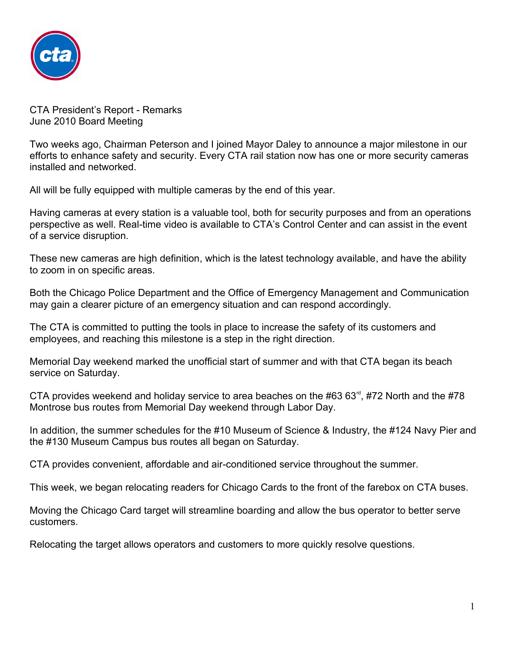

CTA President's Report - Remarks June 2010 Board Meeting

Two weeks ago, Chairman Peterson and I joined Mayor Daley to announce a major milestone in our efforts to enhance safety and security. Every CTA rail station now has one or more security cameras installed and networked.

All will be fully equipped with multiple cameras by the end of this year.

Having cameras at every station is a valuable tool, both for security purposes and from an operations perspective as well. Real-time video is available to CTA's Control Center and can assist in the event of a service disruption.

These new cameras are high definition, which is the latest technology available, and have the ability to zoom in on specific areas.

Both the Chicago Police Department and the Office of Emergency Management and Communication may gain a clearer picture of an emergency situation and can respond accordingly.

The CTA is committed to putting the tools in place to increase the safety of its customers and employees, and reaching this milestone is a step in the right direction.

Memorial Day weekend marked the unofficial start of summer and with that CTA began its beach service on Saturday.

CTA provides weekend and holiday service to area beaches on the #63 63 $^{\text{rd}}$ , #72 North and the #78 Montrose bus routes from Memorial Day weekend through Labor Day.

In addition, the summer schedules for the #10 Museum of Science & Industry, the #124 Navy Pier and the #130 Museum Campus bus routes all began on Saturday.

CTA provides convenient, affordable and air-conditioned service throughout the summer.

This week, we began relocating readers for Chicago Cards to the front of the farebox on CTA buses.

Moving the Chicago Card target will streamline boarding and allow the bus operator to better serve customers.

Relocating the target allows operators and customers to more quickly resolve questions.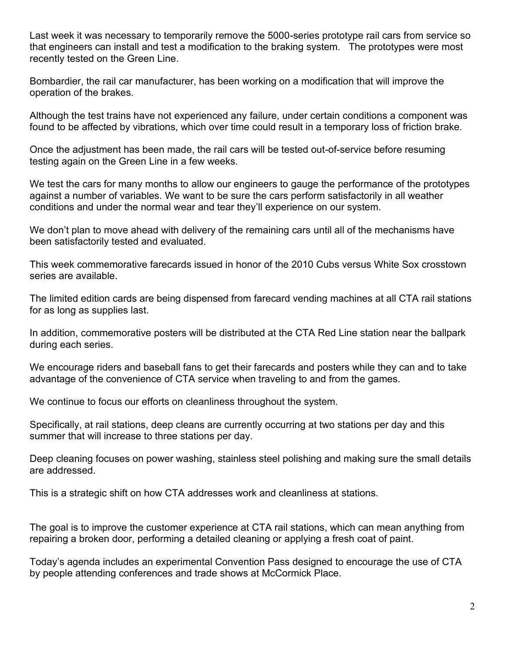Last week it was necessary to temporarily remove the 5000-series prototype rail cars from service so that engineers can install and test a modification to the braking system. The prototypes were most recently tested on the Green Line.

Bombardier, the rail car manufacturer, has been working on a modification that will improve the operation of the brakes.

Although the test trains have not experienced any failure, under certain conditions a component was found to be affected by vibrations, which over time could result in a temporary loss of friction brake.

Once the adjustment has been made, the rail cars will be tested out-of-service before resuming testing again on the Green Line in a few weeks.

We test the cars for many months to allow our engineers to gauge the performance of the prototypes against a number of variables. We want to be sure the cars perform satisfactorily in all weather conditions and under the normal wear and tear they'll experience on our system.

We don't plan to move ahead with delivery of the remaining cars until all of the mechanisms have been satisfactorily tested and evaluated.

This week commemorative farecards issued in honor of the 2010 Cubs versus White Sox crosstown series are available.

The limited edition cards are being dispensed from farecard vending machines at all CTA rail stations for as long as supplies last.

In addition, commemorative posters will be distributed at the CTA Red Line station near the ballpark during each series.

We encourage riders and baseball fans to get their farecards and posters while they can and to take advantage of the convenience of CTA service when traveling to and from the games.

We continue to focus our efforts on cleanliness throughout the system.

Specifically, at rail stations, deep cleans are currently occurring at two stations per day and this summer that will increase to three stations per day.

Deep cleaning focuses on power washing, stainless steel polishing and making sure the small details are addressed.

This is a strategic shift on how CTA addresses work and cleanliness at stations.

The goal is to improve the customer experience at CTA rail stations, which can mean anything from repairing a broken door, performing a detailed cleaning or applying a fresh coat of paint.

Today's agenda includes an experimental Convention Pass designed to encourage the use of CTA by people attending conferences and trade shows at McCormick Place.